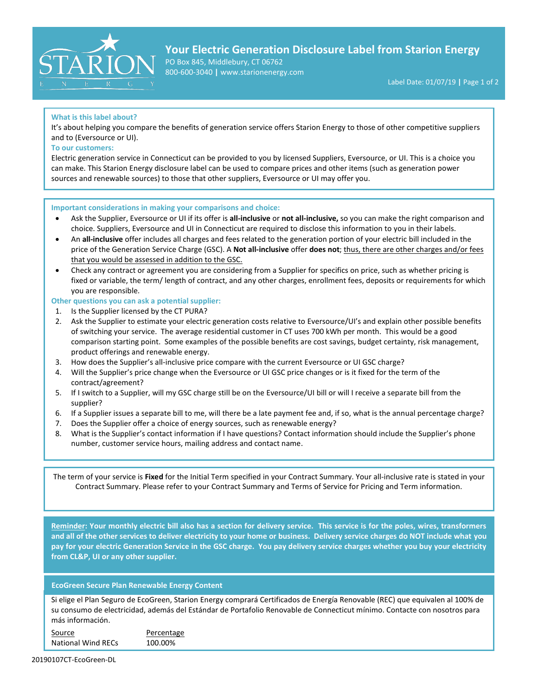

## **Your Electric Generation Disclosure Label from Starion Energy**

PO Box 845, Middlebury, CT 06762 800-600-3040 **|** www.starionenergy.com

Label Date: 01/07/19 **|** Page 1 of 2

## **What is this label about?**

It's about helping you compare the benefits of generation service offers Starion Energy to those of other competitive suppliers and to (Eversource or UI).

## **To our customers:**

Electric generation service in Connecticut can be provided to you by licensed Suppliers, Eversource, or UI. This is a choice you can make. This Starion Energy disclosure label can be used to compare prices and other items (such as generation power sources and renewable sources) to those that other suppliers, Eversource or UI may offer you.

#### **Important considerations in making your comparisons and choice:**

- Ask the Supplier, Eversource or UI if its offer is **all-inclusive** or **not all-inclusive,** so you can make the right comparison and choice. Suppliers, Eversource and UI in Connecticut are required to disclose this information to you in their labels.
- An **all-inclusive** offer includes all charges and fees related to the generation portion of your electric bill included in the price of the Generation Service Charge (GSC). A **Not all-inclusive** offer **does not**; thus, there are other charges and/or fees that you would be assessed in addition to the GSC.
- Check any contract or agreement you are considering from a Supplier for specifics on price, such as whether pricing is fixed or variable, the term/ length of contract, and any other charges, enrollment fees, deposits or requirements for which you are responsible.

#### **Other questions you can ask a potential supplier:**

- 1. Is the Supplier licensed by the CT PURA?
- 2. Ask the Supplier to estimate your electric generation costs relative to Eversource/UI's and explain other possible benefits of switching your service. The average residential customer in CT uses 700 kWh per month. This would be a good comparison starting point. Some examples of the possible benefits are cost savings, budget certainty, risk management, product offerings and renewable energy.
- 3. How does the Supplier's all-inclusive price compare with the current Eversource or UI GSC charge?
- 4. Will the Supplier's price change when the Eversource or UI GSC price changes or is it fixed for the term of the contract/agreement?
- 5. If I switch to a Supplier, will my GSC charge still be on the Eversource/UI bill or will I receive a separate bill from the supplier?
- 6. If a Supplier issues a separate bill to me, will there be a late payment fee and, if so, what is the annual percentage charge?
- 7. Does the Supplier offer a choice of energy sources, such as renewable energy?
- 8. What is the Supplier's contact information if I have questions? Contact information should include the Supplier's phone number, customer service hours, mailing address and contact name.

The term of your service is **Fixed** for the Initial Term specified in your Contract Summary. Your all-inclusive rate is stated in your Contract Summary. Please refer to your Contract Summary and Terms of Service for Pricing and Term information.

**Reminder: Your monthly electric bill also has a section for delivery service. This service is for the poles, wires, transformers and all of the other services to deliver electricity to your home or business. Delivery service charges do NOT include what you pay for your electric Generation Service in the GSC charge. You pay delivery service charges whether you buy your electricity from CL&P, UI or any other supplier.**

## **EcoGreen Secure Plan Renewable Energy Content**

Si elige el Plan Seguro de EcoGreen, Starion Energy comprará Certificados de Energía Renovable (REC) que equivalen al 100% de su consumo de electricidad, además del Estándar de Portafolio Renovable de Connecticut mínimo. Contacte con nosotros para más información.

| Source                    | Percentage |
|---------------------------|------------|
| <b>National Wind RECs</b> | 100.00%    |